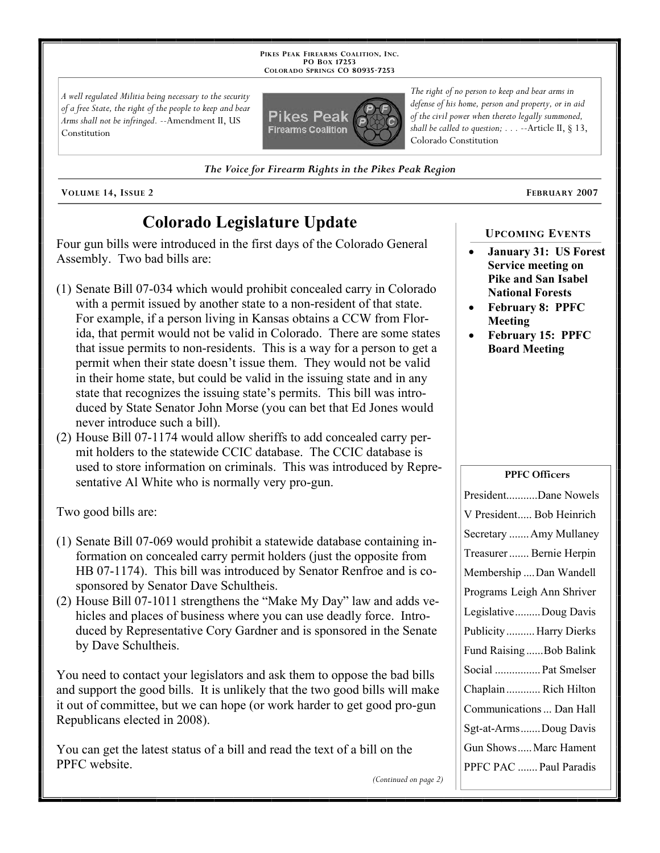**PIKES PEAK FIREARMS COALITION, INC. PO BOX 17253 COLORADO SPRINGS CO 80935 -7253**

*A well regulated Militia being necessary to the security of a free State, the right of the people to keep and bear Arms shall not be infringed.* --Amendment II, US Constitution



*The Voice for Firearm Rights in the Pikes Peak Region*

**VOLUME 14, ISSUE 2 FEBRUARY 2007**

# **Colorado Legislature Update**

Four gun bills were introduced in the first days of the Colorado General Assembly. Two bad bills are:

- (1) Senate Bill 07-034 which would prohibit concealed carry in Colorado with a permit issued by another state to a non-resident of that state. For example, if a person living in Kansas obtains a CCW from Florida, that permit would not be valid in Colorado. There are some states that issue permits to non-residents. This is a way for a person to get a permit when their state doesn't issue them. They would not be valid in their home state, but could be valid in the issuing state and in any state that recognizes the issuing state's permits. This bill was introduced by State Senator John Morse (you can bet that Ed Jones would never introduce such a bill).
- (2) House Bill 07-1174 would allow sheriffs to add concealed carry permit holders to the statewide CCIC database. The CCIC database is used to store information on criminals. This was introduced by Representative Al White who is normally very pro-gun.

Two good bills are:

- (1) Senate Bill 07-069 would prohibit a statewide database containing information on concealed carry permit holders (just the opposite from HB 07-1174). This bill was introduced by Senator Renfroe and is cosponsored by Senator Dave Schultheis.
- (2) House Bill 07-1011 strengthens the "Make My Day" law and adds vehicles and places of business where you can use deadly force. Introduced by Representative Cory Gardner and is sponsored in the Senate by Dave Schultheis.

You need to contact your legislators and ask them to oppose the bad bills and support the good bills. It is unlikely that the two good bills will make it out of committee, but we can hope (or work harder to get good pro-gun Republicans elected in 2008).

You can get the latest status of a bill and read the text of a bill on the PPFC website.

*The right of no person to keep and bear arms in defense of his home, person and property, or in aid of the civil power when thereto legally summoned, shall be called to question; . . .* --Article II, § 13, Colorado Constitution

## **UPCOMING EVENTS**

- **January 31: US Forest Service meeting on Pike and San Isabel National Forests**
- **February 8: PPFC Meeting**
- **February 15: PPFC Board Meeting**

### **PPFC Officers**

| PresidentDane Nowels       |
|----------------------------|
| V President Bob Heinrich   |
| Secretary  Amy Mullaney    |
| Treasurer  Bernie Herpin   |
| Membership Dan Wandell     |
| Programs Leigh Ann Shriver |
| LegislativeDoug Davis      |
| Publicity  Harry Dierks    |
| Fund RaisingBob Balink     |
| Social  Pat Smelser        |
| Chaplain Rich Hilton       |
| Communications  Dan Hall   |
| Sgt-at-ArmsDoug Davis      |
| Gun ShowsMarc Hament       |
| PPFC PAC  Paul Paradis     |

*(Continued on page 2)*